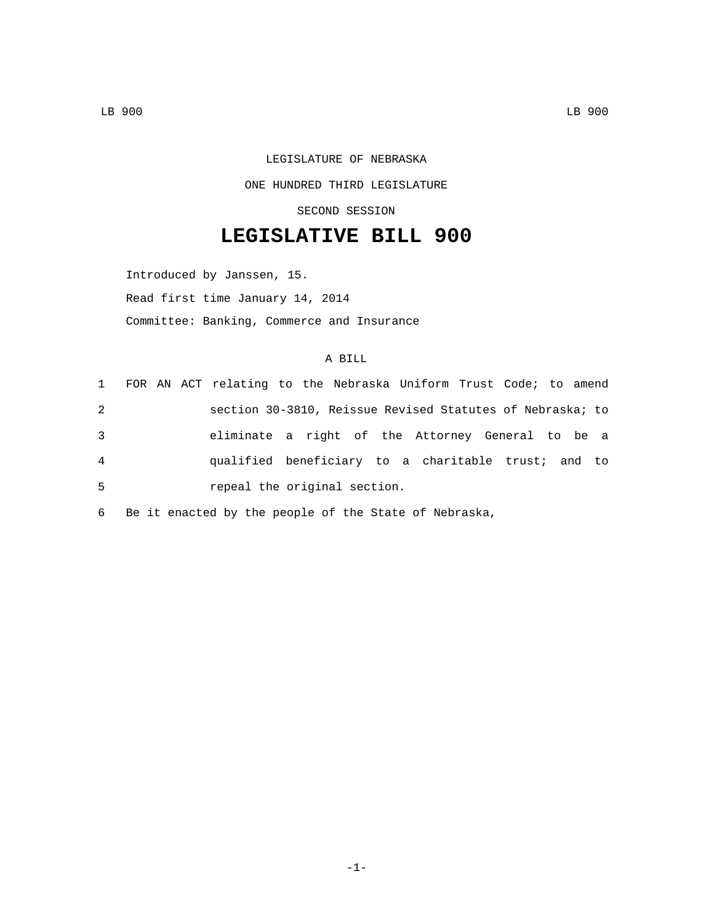## LEGISLATURE OF NEBRASKA ONE HUNDRED THIRD LEGISLATURE SECOND SESSION

## **LEGISLATIVE BILL 900**

Introduced by Janssen, 15. Read first time January 14, 2014 Committee: Banking, Commerce and Insurance

## A BILL

|   |  | 1 FOR AN ACT relating to the Nebraska Uniform Trust Code; to amend |  |  |  |  |  |  |
|---|--|--------------------------------------------------------------------|--|--|--|--|--|--|
| 2 |  | section 30-3810, Reissue Revised Statutes of Nebraska; to          |  |  |  |  |  |  |
| 3 |  | eliminate a right of the Attorney General to be a                  |  |  |  |  |  |  |
| 4 |  | qualified beneficiary to a charitable trust; and to                |  |  |  |  |  |  |
| 5 |  | repeal the original section.                                       |  |  |  |  |  |  |

6 Be it enacted by the people of the State of Nebraska,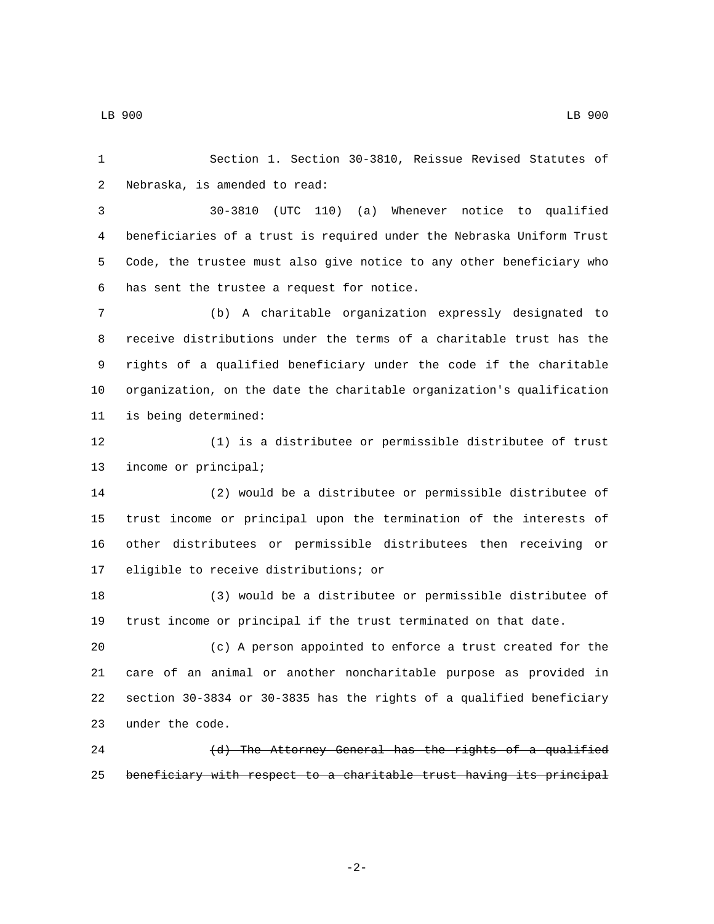LB 900 LB 900

 Section 1. Section 30-3810, Reissue Revised Statutes of 2 Nebraska, is amended to read: 30-3810 (UTC 110) (a) Whenever notice to qualified beneficiaries of a trust is required under the Nebraska Uniform Trust Code, the trustee must also give notice to any other beneficiary who 6 has sent the trustee a request for notice. (b) A charitable organization expressly designated to receive distributions under the terms of a charitable trust has the rights of a qualified beneficiary under the code if the charitable organization, on the date the charitable organization's qualification is being determined:11 (1) is a distributee or permissible distributee of trust 13 income or principal; (2) would be a distributee or permissible distributee of trust income or principal upon the termination of the interests of other distributees or permissible distributees then receiving or 17 eligible to receive distributions; or (3) would be a distributee or permissible distributee of trust income or principal if the trust terminated on that date. (c) A person appointed to enforce a trust created for the care of an animal or another noncharitable purpose as provided in section 30-3834 or 30-3835 has the rights of a qualified beneficiary 23 under the code. 24 (d) The Attorney General has the rights of a qualified

-2-

beneficiary with respect to a charitable trust having its principal